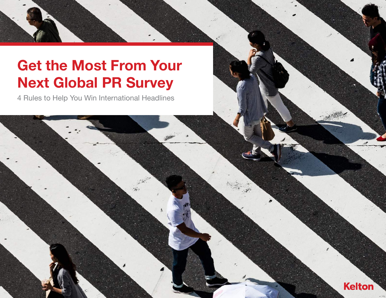## Get the Most From Your Next Global PR Survey

4 Rules to Help You Win International Headlines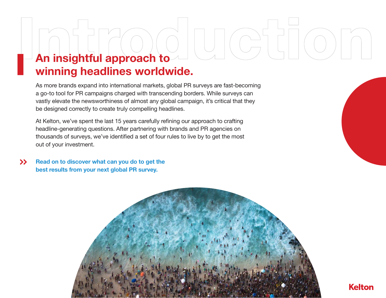# An insightful approach to

## winning headlines worldwide.

As more brands expand into international markets, global PR surveys are fast-becoming a go-to tool for PR campaigns charged with transcending borders. While surveys can vastly elevate the newsworthiness of almost any global campaign, it's critical that they be designed correctly to create truly compelling headlines.

At Kelton, we've spent the last 15 years carefully refining our approach to crafting headline-generating questions. After partnering with brands and PR agencies on thousands of surveys, we've identified a set of four rules to live by to get the most out of your investment.

 $\rightarrow$ Read on to discover what can you do to get the best results from your next global PR survey.



**Kelton**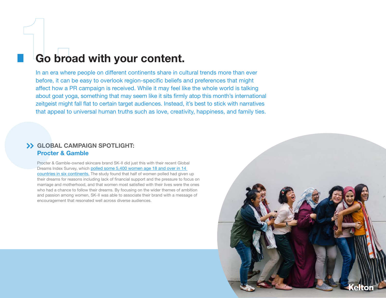## Go broad with your content.

In an era where people on different continents share in cultural trends more than ever before, it can be easy to overlook region-specific beliefs and preferences that might affect how a PR campaign is received. While it may feel like the whole world is talking about goat yoga, something that may seem like it sits firmly atop this month's international zeitgeist might fall flat to certain target audiences. Instead, it's best to stick with narratives that appeal to universal human truths such as love, creativity, happiness, and family ties.

#### GLOBAL CAMPAIGN SPOTLIGHT: Procter & Gamble

Procter & Gamble-owned skincare brand SK-II did just this with their recent Global Dreams Index Survey, which [polled some 5,400 women age 18 and over in 14](https://www.prnewswire.com/news-releases/half-the-worlds-women-have-given-up-on-their-dreams-kids-challenge-them-to-dream-again-300288272.html)  [countries in six continents.](https://www.prnewswire.com/news-releases/half-the-worlds-women-have-given-up-on-their-dreams-kids-challenge-them-to-dream-again-300288272.html) The study found that half of women polled had given up their dreams for reasons including lack of financial support and the pressure to focus on marriage and motherhood, and that women most satisfied with their lives were the ones who had a chance to follow their dreams. By focusing on the wider themes of ambition and passion among women, SK-II was able to associate their brand with a message of encouragement that resonated well across diverse audiences.

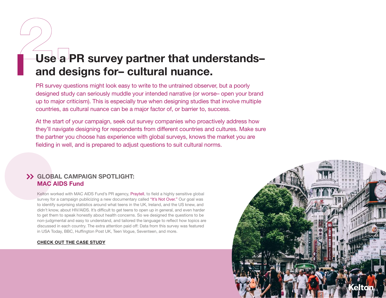## Use a PR survey partner that understandsand designs for– cultural nuance.

PR survey questions might look easy to write to the untrained observer, but a poorly designed study can seriously muddle your intended narrative (or worse– open your brand up to major criticism). This is especially true when designing studies that involve multiple countries, as cultural nuance can be a major factor of, or barrier to, success.

At the start of your campaign, seek out survey companies who proactively address how they'll navigate designing for respondents from different countries and cultures. Make sure the partner you choose has experience with global surveys, knows the market you are fielding in well, and is prepared to adjust questions to suit cultural norms.

### GLOBAL CAMPAIGN SPOTLIGHT: MAC AIDS Fund

Kelton worked with MAC AIDS Fund's PR agency, [Praytell,](http://www.praytellagency.com/) to field a highly sensitive global survey for a campaign publicizing a new documentary called ["It's Not Over."](http://www.itsnotoverfilm.com/) Our goal was to identify surprising statistics around what teens in the UK, Ireland, and the US knew, and didn't know, about HIV/AIDS. It's difficult to get teens to open up in general, and even harder to get them to speak honestly about health concerns. So we designed the questions to be non-judgmental and easy to understand, and tailored the language to reflect how topics are discussed in each country. The extra attention paid off: Data from this survey was featured in USA Today, BBC, Huffington Post UK, Teen Vogue, Seventeen, and more.

#### [CHECK OUT THE CASE STUDY](https://www.keltonglobal.com/studies/mac-aids-fund-praytell/)

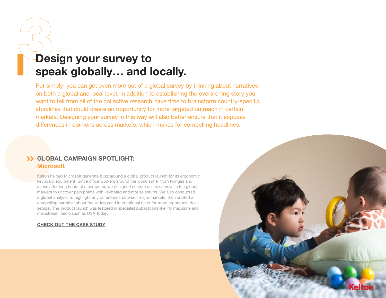## Design your survey to speak globally… and locally.

Put simply: you can get even more out of a global survey by thinking about narratives on both a global and local level. In addition to establishing the overarching story you want to tell from all of the collective research, take time to brainstorm country-specific storylines that could create an opportunity for more targeted outreach in certain markets. Designing your survey in this way will also better ensure that it exposes differences in opinions across markets, which makes for compelling headlines.

### GLOBAL CAMPAIGN SPOTLIGHT: **Microsoft**

Kelton helped Microsoft generate buzz around a global product launch for its ergonomic keyboard equipment. Since office workers around the world suffer from twinges and aches after long hours at a computer, we designed custom online surveys in ten global markets to uncover pain points with keyboard and mouse setups. We also conducted a global analysis to highlight any differences between major markets, then crafted a compelling narrative about the widespread international need for more ergonomic desk setups. The product launch was featured in specialist publications like PC magazine and mainstream media such as USA Today.

#### [CHECK OUT THE CASE STUDY](https://www.keltonglobal.com/studies/microsoft/)

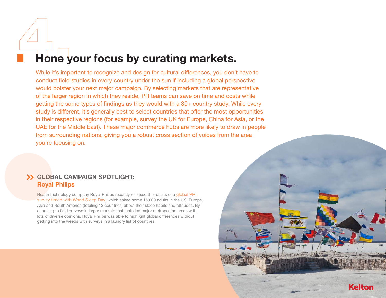## Hone your focus by curating markets.

While it's important to recognize and design for cultural differences, you don't have to conduct field studies in every country under the sun if including a global perspective would bolster your next major campaign. By selecting markets that are representative of the larger region in which they reside, PR teams can save on time and costs while getting the same types of findings as they would with a 30+ country study. While every study is different, it's generally best to select countries that offer the most opportunities in their respective regions (for example, survey the UK for Europe, China for Asia, or the UAE for the Middle East). These major commerce hubs are more likely to draw in people from surrounding nations, giving you a robust cross section of voices from the area you're focusing on.

**Kelton** 

### GLOBAL CAMPAIGN SPOTLIGHT: Royal Philips

Health technology company Royal Philips recently released the results of a global PR [survey timed with World Sleep Day,](https://www.prnewswire.com/news-releases/philips-celebrates-world-sleep-day-early-with-the-release-of-its-annual-global-sleep-survey-results-overnight-concert-experience-300612252.html) which asked some 15,000 adults in the US, Europe, Asia and South America (totaling 13 countries) about their sleep habits and attitudes. By choosing to field surveys in larger markets that included major metropolitan areas with lots of diverse opinions, Royal Philips was able to highlight global differences without getting into the weeds with surveys in a laundry list of countries.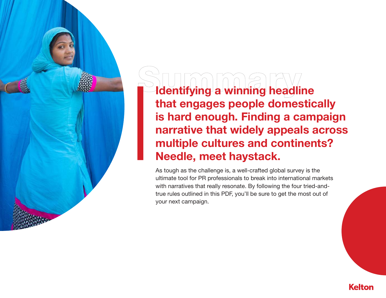Identifying a winning headline that engages people domestically is hard enough. Finding a campaign narrative that widely appeals across multiple cultures and continents? Needle, meet haystack.

As tough as the challenge is, a well-crafted global survey is the ultimate tool for PR professionals to break into international markets with narratives that really resonate. By following the four tried-andtrue rules outlined in this PDF, you'll be sure to get the most out of your next campaign.